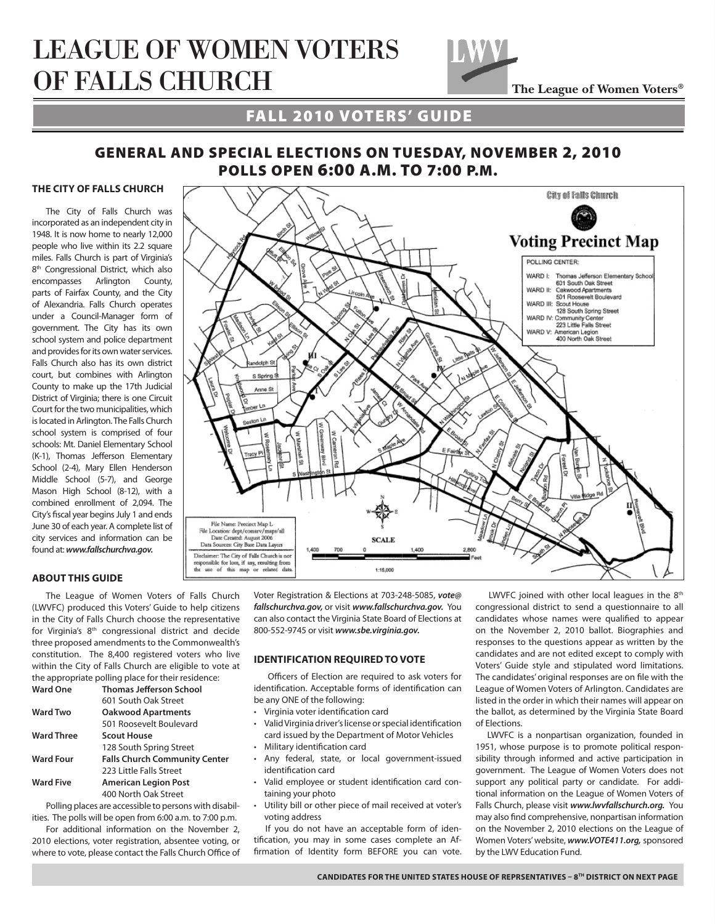# LEAGUE OF WOMEN VOTERS OF FALLS CHURCH



# FALL 2010 VOTERS' GUIDE

# GENERAL AND SPECIAL ELECTIONS ON TUESDAY, NOVEMBER 2, 2010 POLLS OPEN 6:00 A.M. TO 7:00 P.M.

## **THE CITY OF FALLS CHURCH**

The City of Falls Church was incorporated as an independent city in 1948. It is now home to nearly 12,000 people who live within its 2.2 square miles. Falls Church is part of Virginia's 8<sup>th</sup> Congressional District, which also encompasses Arlington County, parts of Fairfax County, and the City of Alexandria. Falls Church operates under a Council-Manager form of government. The City has its own school system and police department and provides for its own water services. Falls Church also has its own district court, but combines with Arlington County to make up the 17th Judicial District of Virginia; there is one Circuit Court for the two municipalities, which is located in Arlington. The Falls Church school system is comprised of four schools: Mt. Daniel Elementary School (K-1), Thomas Jefferson Elementary School (2-4), Mary Ellen Henderson Middle School (5-7), and George Mason High School (8-12), with a combined enrollment of 2,094. The City's fiscal year begins July 1 and ends June 30 of each year. A complete list of city services and information can be found at: *www.fallschurchva.gov.*



# **ABOUT THIS GUIDE**

The League of Women Voters of Falls Church (LWVFC) produced this Voters' Guide to help citizens in the City of Falls Church choose the representative for Virginia's 8th congressional district and decide three proposed amendments to the Commonwealth's constitution. The 8,400 registered voters who live within the City of Falls Church are eligible to vote at the appropriate polling place for their residence: **Ward One Thomas Jefferson School**

|                   | 601 South Oak Street                 |
|-------------------|--------------------------------------|
| <b>Ward Two</b>   | <b>Oakwood Apartments</b>            |
|                   | 501 Roosevelt Boulevard              |
| <b>Ward Three</b> | <b>Scout House</b>                   |
|                   | 128 South Spring Street              |
| <b>Ward Four</b>  | <b>Falls Church Community Center</b> |
|                   | 223 Little Falls Street              |
| <b>Ward Five</b>  | <b>American Legion Post</b>          |
|                   | 400 North Oak Street                 |
|                   |                                      |

Polling places are accessible to persons with disabilities. The polls will be open from 6:00 a.m. to 7:00 p.m.

For additional information on the November 2, 2010 elections, voter registration, absentee voting, or where to vote, please contact the Falls Church Office of Voter Registration & Elections at 703-248-5085, *vote@ fallschurchva.gov,* or visit *www.fallschurchva.gov.*  You can also contact the Virginia State Board of Elections at 800-552-9745 or visit *www.sbe.virginia.gov.*

### **IDENTIFICATION REQUIRED TO VOTE**

Officers of Election are required to ask voters for identification. Acceptable forms of identification can be any ONE of the following:

- • Virginia voter identification card
- • Valid Virginia driver's license or special identification card issued by the Department of Motor Vehicles
- • Military identification card
- Any federal, state, or local government-issued identification card
- • Valid employee or student identification card containing your photo
- • Utility bill or other piece of mail received at voter's voting address

If you do not have an acceptable form of identification, you may in some cases complete an Affirmation of Identity form BEFORE you can vote.

LWVFC joined with other local leagues in the  $8<sup>th</sup>$ congressional district to send a questionnaire to all candidates whose names were qualified to appear on the November 2, 2010 ballot. Biographies and responses to the questions appear as written by the candidates and are not edited except to comply with Voters' Guide style and stipulated word limitations. The candidates' original responses are on file with the League of Women Voters of Arlington. Candidates are listed in the order in which their names will appear on the ballot, as determined by the Virginia State Board of Elections.

LWVFC is a nonpartisan organization, founded in 1951, whose purpose is to promote political responsibility through informed and active participation in government. The League of Women Voters does not support any political party or candidate. For additional information on the League of Women Voters of Falls Church, please visit *www.lwvfallschurch.org.* You may also find comprehensive, nonpartisan information on the November 2, 2010 elections on the League of Women Voters' website, *www.VOTE411.org,* sponsored by the LWV Education Fund.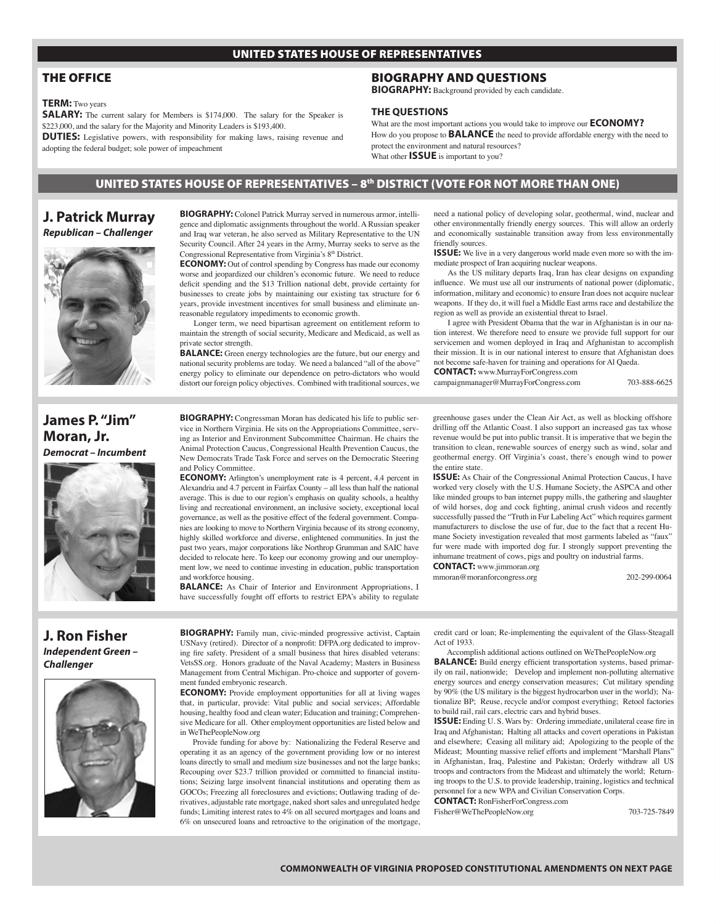### UNITED STATES HOUSE OF REPRESENTATIVES

## THE OFFICE

### **TERM:** Two years

**SALARY:** The current salary for Members is \$174,000. The salary for the Speaker is \$223,000, and the salary for the Majority and Minority Leaders is \$193,400.

**DUTIES:** Legislative powers, with responsibility for making laws, raising revenue and adopting the federal budget; sole power of impeachment

### BIOGRAPHY AND QUESTIONS **BIOGRAPHY:** Background provided by each candidate.

#### **THE QUESTIONS**

What are the most important actions you would take to improve our **ECONOMY?** How do you propose to **BALANCE** the need to provide affordable energy with the need to protect the environment and natural resources? What other **ISSUE** is important to you?

### UNITED STATES HOUSE OF REPRESENTATIVES – 8<sup>th</sup> DISTRICT (VOTE FOR NOT MORE THAN ONE)

### **J. Patrick Murray** *Republican – Challenger*



**BIOGRAPHY:** Colonel Patrick Murray served in numerous armor, intelligence and diplomatic assignments throughout the world. A Russian speaker and Iraq war veteran, he also served as Military Representative to the UN Security Council. After 24 years in the Army, Murray seeks to serve as the Congressional Representative from Virginia's 8th District.

**ECONOMY:** Out of control spending by Congress has made our economy worse and jeopardized our children's economic future. We need to reduce deficit spending and the \$13 Trillion national debt, provide certainty for businesses to create jobs by maintaining our existing tax structure for 6 years, provide investment incentives for small business and eliminate unreasonable regulatory impediments to economic growth.

Longer term, we need bipartisan agreement on entitlement reform to maintain the strength of social security, Medicare and Medicaid, as well as private sector strength.

**BALANCE:** Green energy technologies are the future, but our energy and national security problems are today. We need a balanced "all of the above" energy policy to eliminate our dependence on petro-dictators who would distort our foreign policy objectives. Combined with traditional sources, we

need a national policy of developing solar, geothermal, wind, nuclear and other environmentally friendly energy sources. This will allow an orderly and economically sustainable transition away from less environmentally friendly sources.

**ISSUE:** We live in a very dangerous world made even more so with the immediate prospect of Iran acquiring nuclear weapons.

As the US military departs Iraq, Iran has clear designs on expanding influence. We must use all our instruments of national power (diplomatic, information, military and economic) to ensure Iran does not acquire nuclear weapons. If they do, it will fuel a Middle East arms race and destabilize the region as well as provide an existential threat to Israel.

I agree with President Obama that the war in Afghanistan is in our nation interest. We therefore need to ensure we provide full support for our servicemen and women deployed in Iraq and Afghanistan to accomplish their mission. It is in our national interest to ensure that Afghanistan does not become safe-haven for training and operations for Al Qaeda.

**CONTACT:** www.MurrayForCongress.com campaignmanager@MurrayForCongress.com 703-888-6625

# **James P. "Jim" Moran, Jr.** *Democrat – Incumbent*



**BIOGRAPHY:** Congressman Moran has dedicated his life to public service in Northern Virginia. He sits on the Appropriations Committee, serving as Interior and Environment Subcommittee Chairman. He chairs the Animal Protection Caucus, Congressional Health Prevention Caucus, the New Democrats Trade Task Force and serves on the Democratic Steering and Policy Committee.

**ECONOMY:** Arlington's unemployment rate is 4 percent, 4.4 percent in Alexandria and 4.7 percent in Fairfax County – all less than half the national average. This is due to our region's emphasis on quality schools, a healthy living and recreational environment, an inclusive society, exceptional local governance, as well as the positive effect of the federal government. Companies are looking to move to Northern Virginia because of its strong economy, highly skilled workforce and diverse, enlightened communities. In just the past two years, major corporations like Northrop Grumman and SAIC have decided to relocate here. To keep our economy growing and our unemployment low, we need to continue investing in education, public transportation and workforce housing.

**BALANCE:** As Chair of Interior and Environment Appropriations, I have successfully fought off efforts to restrict EPA's ability to regulate

greenhouse gases under the Clean Air Act, as well as blocking offshore drilling off the Atlantic Coast. I also support an increased gas tax whose revenue would be put into public transit. It is imperative that we begin the transition to clean, renewable sources of energy such as wind, solar and geothermal energy. Off Virginia's coast, there's enough wind to power the entire state.

**ISSUE:** As Chair of the Congressional Animal Protection Caucus, I have worked very closely with the U.S. Humane Society, the ASPCA and other like minded groups to ban internet puppy mills, the gathering and slaughter of wild horses, dog and cock fighting, animal crush videos and recently successfully passed the "Truth in Fur Labeling Act" which requires garment manufacturers to disclose the use of fur, due to the fact that a recent Humane Society investigation revealed that most garments labeled as "faux" fur were made with imported dog fur. I strongly support preventing the inhumane treatment of cows, pigs and poultry on industrial farms.

**CONTACT:** www.jimmoran.org

mmoran@moranforcongress.org 202-299-0064

# **J. Ron Fisher** *Independent Green –*



**BIOGRAPHY:** Family man, civic-minded progressive activist, Captain USNavy (retired). Director of a nonprofit: DFPA.org dedicated to improving fire safety. President of a small business that hires disabled veterans: VetsSS.org. Honors graduate of the Naval Academy; Masters in Business Management from Central Michigan. Pro-choice and supporter of government funded embryonic research.

**ECONOMY:** Provide employment opportunities for all at living wages that, in particular, provide: Vital public and social services; Affordable housing, healthy food and clean water; Education and training; Comprehensive Medicare for all. Other employment opportunities are listed below and in WeThePeopleNow.org

Provide funding for above by: Nationalizing the Federal Reserve and operating it as an agency of the government providing low or no interest loans directly to small and medium size businesses and not the large banks: Recouping over \$23.7 trillion provided or committed to financial institutions; Seizing large insolvent financial institutions and operating them as GOCOs; Freezing all foreclosures and evictions; Outlawing trading of derivatives, adjustable rate mortgage, naked short sales and unregulated hedge funds; Limiting interest rates to 4% on all secured mortgages and loans and 6% on unsecured loans and retroactive to the origination of the mortgage,

credit card or loan; Re-implementing the equivalent of the Glass-Steagall Act of 1933.

Accomplish additional actions outlined on WeThePeopleNow.org **BALANCE:** Build energy efficient transportation systems, based primarily on rail, nationwide; Develop and implement non-polluting alternative energy sources and energy conservation measures; Cut military spending by 90% (the US military is the biggest hydrocarbon user in the world); Nationalize BP; Reuse, recycle and/or compost everything; Retool factories to build rail, rail cars, electric cars and hybrid buses.

**ISSUE:** Ending U. S. Wars by: Ordering immediate, unilateral cease fire in Iraq and Afghanistan; Halting all attacks and covert operations in Pakistan and elsewhere; Ceasing all military aid; Apologizing to the people of the Mideast; Mounting massive relief efforts and implement "Marshall Plans" in Afghanistan, Iraq, Palestine and Pakistan; Orderly withdraw all US troops and contractors from the Mideast and ultimately the world; Returning troops to the U.S. to provide leadership, training, logistics and technical personnel for a new WPA and Civilian Conservation Corps.

**CONTACT:** RonFisherForCongress.com Fisher@WeThePeopleNow.org 703-725-7849